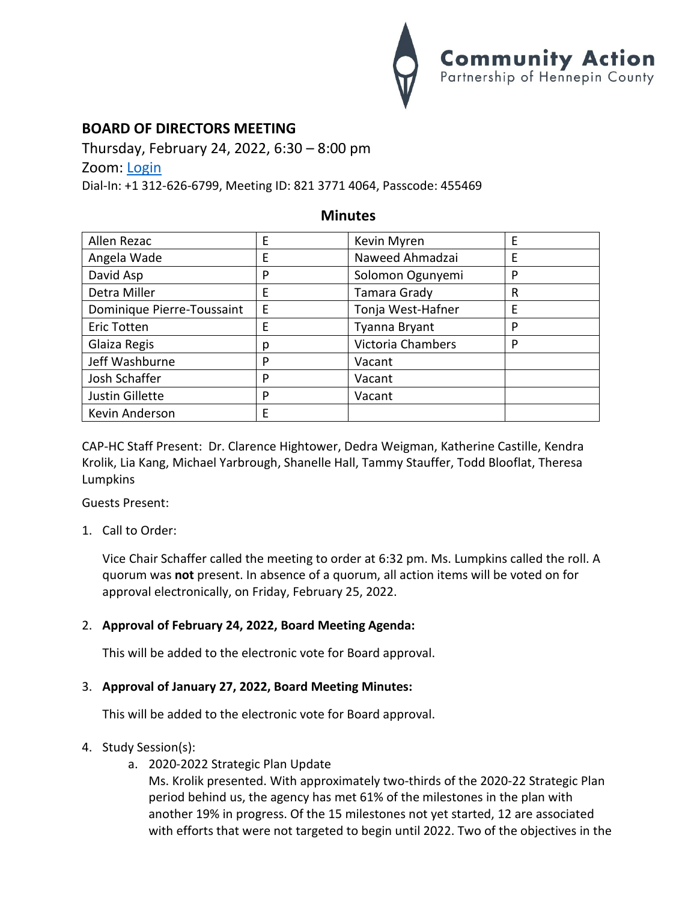

# **BOARD OF DIRECTORS MEETING**

Thursday, February 24, 2022, 6:30 – 8:00 pm Zoom: [Login](https://us02web.zoom.us/j/82137714064?pwd=N1dZY3NqWXFUbGR2UGZGdWdTNkNDdz09) Dial-In: +1 312-626-6799, Meeting ID: 821 3771 4064, Passcode: 455469

## **Minutes**

| Allen Rezac                | E | Kevin Myren       | E |
|----------------------------|---|-------------------|---|
| Angela Wade                | E | Naweed Ahmadzai   | E |
| David Asp                  | P | Solomon Ogunyemi  | P |
| Detra Miller               | E | Tamara Grady      | R |
| Dominique Pierre-Toussaint | Ε | Tonja West-Hafner | E |
| <b>Eric Totten</b>         | E | Tyanna Bryant     | P |
| Glaiza Regis               | р | Victoria Chambers | P |
| Jeff Washburne             | P | Vacant            |   |
| Josh Schaffer              | P | Vacant            |   |
| Justin Gillette            | P | Vacant            |   |
| Kevin Anderson             | E |                   |   |

CAP-HC Staff Present: Dr. Clarence Hightower, Dedra Weigman, Katherine Castille, Kendra Krolik, Lia Kang, Michael Yarbrough, Shanelle Hall, Tammy Stauffer, Todd Blooflat, Theresa Lumpkins

Guests Present:

1. Call to Order:

Vice Chair Schaffer called the meeting to order at 6:32 pm. Ms. Lumpkins called the roll. A quorum was **not** present. In absence of a quorum, all action items will be voted on for approval electronically, on Friday, February 25, 2022.

### 2. **Approval of February 24, 2022, Board Meeting Agenda:**

This will be added to the electronic vote for Board approval.

### 3. **Approval of January 27, 2022, Board Meeting Minutes:**

This will be added to the electronic vote for Board approval.

#### 4. Study Session(s):

a. 2020-2022 Strategic Plan Update

Ms. Krolik presented. With approximately two-thirds of the 2020-22 Strategic Plan period behind us, the agency has met 61% of the milestones in the plan with another 19% in progress. Of the 15 milestones not yet started, 12 are associated with efforts that were not targeted to begin until 2022. Two of the objectives in the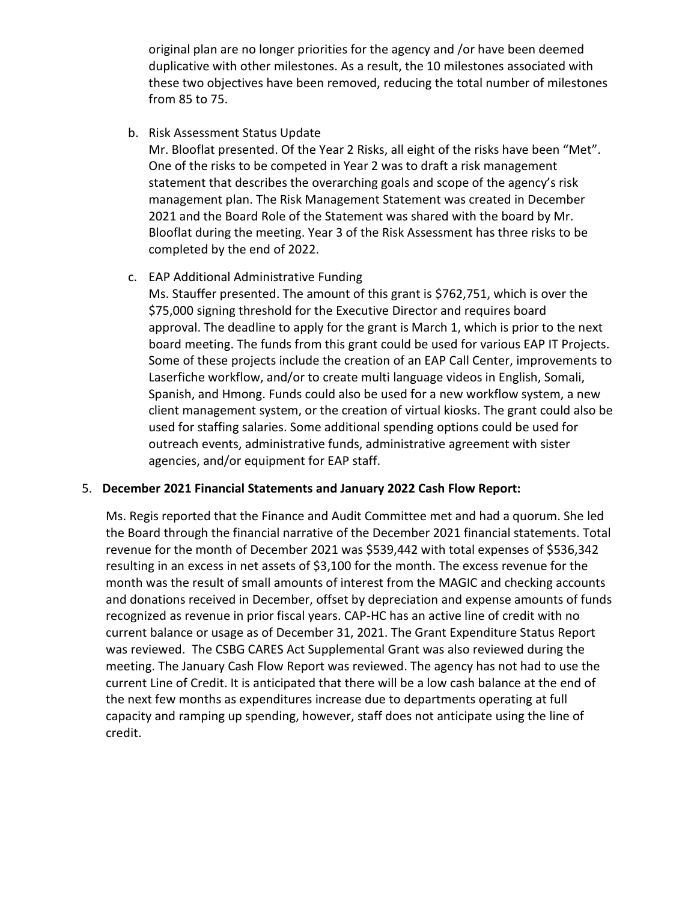original plan are no longer priorities for the agency and /or have been deemed duplicative with other milestones. As a result, the 10 milestones associated with these two objectives have been removed, reducing the total number of milestones from 85 to 75.

b. Risk Assessment Status Update

Mr. Blooflat presented. Of the Year 2 Risks, all eight of the risks have been "Met". One of the risks to be competed in Year 2 was to draft a risk management statement that describes the overarching goals and scope of the agency's risk management plan. The Risk Management Statement was created in December 2021 and the Board Role of the Statement was shared with the board by Mr. Blooflat during the meeting. Year 3 of the Risk Assessment has three risks to be completed by the end of 2022.

c. EAP Additional Administrative Funding

Ms. Stauffer presented. The amount of this grant is \$762,751, which is over the \$75,000 signing threshold for the Executive Director and requires board approval. The deadline to apply for the grant is March 1, which is prior to the next board meeting. The funds from this grant could be used for various EAP IT Projects. Some of these projects include the creation of an EAP Call Center, improvements to Laserfiche workflow, and/or to create multi language videos in English, Somali, Spanish, and Hmong. Funds could also be used for a new workflow system, a new client management system, or the creation of virtual kiosks. The grant could also be used for staffing salaries. Some additional spending options could be used for outreach events, administrative funds, administrative agreement with sister agencies, and/or equipment for EAP staff.

# 5. **December 2021 Financial Statements and January 2022 Cash Flow Report:**

Ms. Regis reported that the Finance and Audit Committee met and had a quorum. She led the Board through the financial narrative of the December 2021 financial statements. Total revenue for the month of December 2021 was \$539,442 with total expenses of \$536,342 resulting in an excess in net assets of \$3,100 for the month. The excess revenue for the month was the result of small amounts of interest from the MAGIC and checking accounts and donations received in December, offset by depreciation and expense amounts of funds recognized as revenue in prior fiscal years. CAP-HC has an active line of credit with no current balance or usage as of December 31, 2021. The Grant Expenditure Status Report was reviewed. The CSBG CARES Act Supplemental Grant was also reviewed during the meeting. The January Cash Flow Report was reviewed. The agency has not had to use the current Line of Credit. It is anticipated that there will be a low cash balance at the end of the next few months as expenditures increase due to departments operating at full capacity and ramping up spending, however, staff does not anticipate using the line of credit.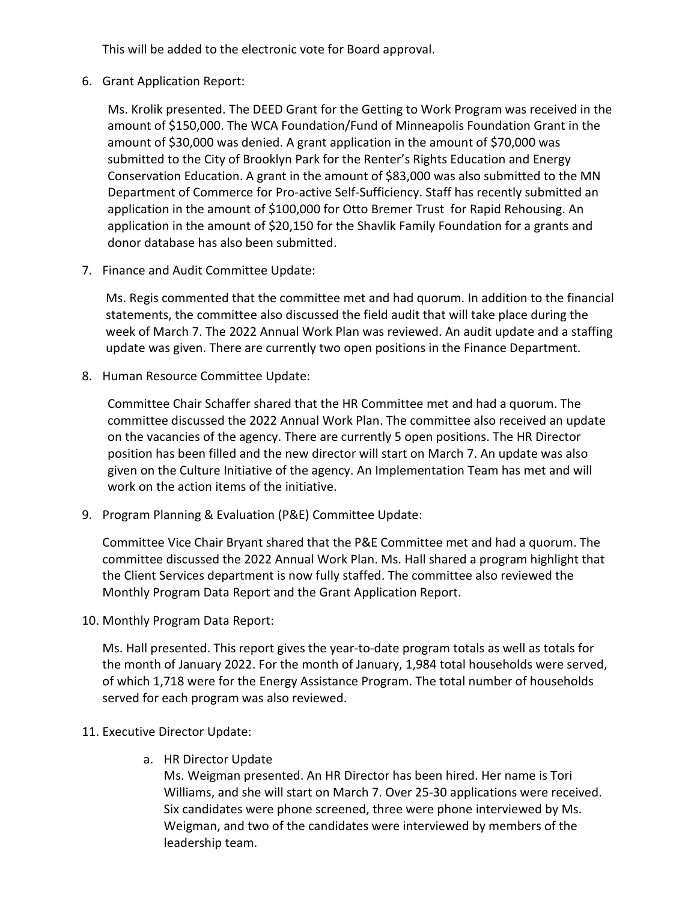This will be added to the electronic vote for Board approval.

6. Grant Application Report:

Ms. Krolik presented. The DEED Grant for the Getting to Work Program was received in the amount of \$150,000. The WCA Foundation/Fund of Minneapolis Foundation Grant in the amount of \$30,000 was denied. A grant application in the amount of \$70,000 was submitted to the City of Brooklyn Park for the Renter's Rights Education and Energy Conservation Education. A grant in the amount of \$83,000 was also submitted to the MN Department of Commerce for Pro-active Self-Sufficiency. Staff has recently submitted an application in the amount of \$100,000 for Otto Bremer Trust for Rapid Rehousing. An application in the amount of \$20,150 for the Shavlik Family Foundation for a grants and donor database has also been submitted.

7. Finance and Audit Committee Update:

Ms. Regis commented that the committee met and had quorum. In addition to the financial statements, the committee also discussed the field audit that will take place during the week of March 7. The 2022 Annual Work Plan was reviewed. An audit update and a staffing update was given. There are currently two open positions in the Finance Department.

8. Human Resource Committee Update:

Committee Chair Schaffer shared that the HR Committee met and had a quorum. The committee discussed the 2022 Annual Work Plan. The committee also received an update on the vacancies of the agency. There are currently 5 open positions. The HR Director position has been filled and the new director will start on March 7. An update was also given on the Culture Initiative of the agency. An Implementation Team has met and will work on the action items of the initiative.

9. Program Planning & Evaluation (P&E) Committee Update:

Committee Vice Chair Bryant shared that the P&E Committee met and had a quorum. The committee discussed the 2022 Annual Work Plan. Ms. Hall shared a program highlight that the Client Services department is now fully staffed. The committee also reviewed the Monthly Program Data Report and the Grant Application Report.

10. Monthly Program Data Report:

Ms. Hall presented. This report gives the year-to-date program totals as well as totals for the month of January 2022. For the month of January, 1,984 total households were served, of which 1,718 were for the Energy Assistance Program. The total number of households served for each program was also reviewed.

- 11. Executive Director Update:
	- a. HR Director Update

Ms. Weigman presented. An HR Director has been hired. Her name is Tori Williams, and she will start on March 7. Over 25-30 applications were received. Six candidates were phone screened, three were phone interviewed by Ms. Weigman, and two of the candidates were interviewed by members of the leadership team.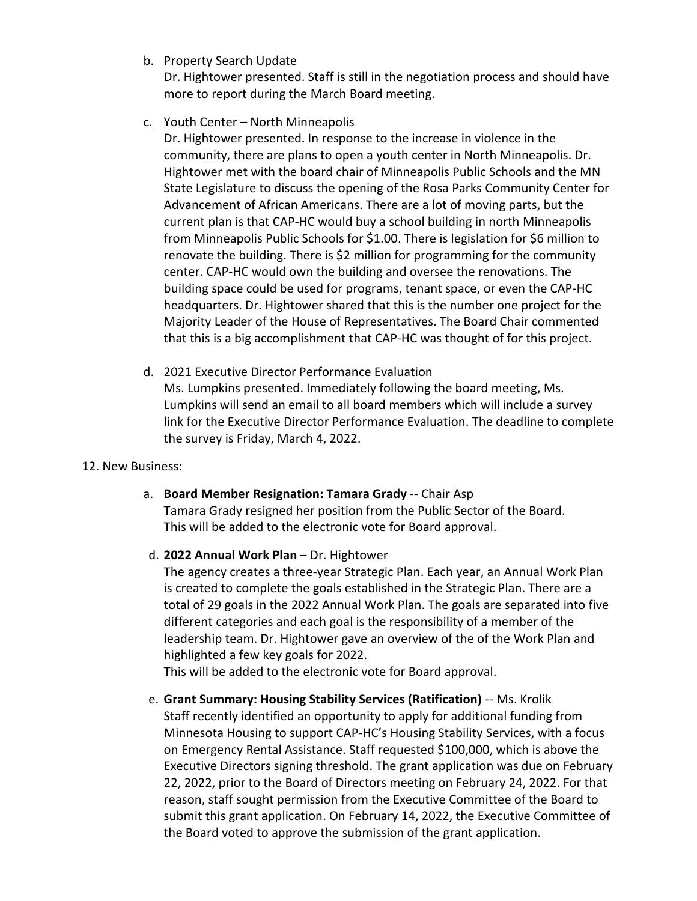b. Property Search Update

Dr. Hightower presented. Staff is still in the negotiation process and should have more to report during the March Board meeting.

c. Youth Center – North Minneapolis

Dr. Hightower presented. In response to the increase in violence in the community, there are plans to open a youth center in North Minneapolis. Dr. Hightower met with the board chair of Minneapolis Public Schools and the MN State Legislature to discuss the opening of the Rosa Parks Community Center for Advancement of African Americans. There are a lot of moving parts, but the current plan is that CAP-HC would buy a school building in north Minneapolis from Minneapolis Public Schools for \$1.00. There is legislation for \$6 million to renovate the building. There is \$2 million for programming for the community center. CAP-HC would own the building and oversee the renovations. The building space could be used for programs, tenant space, or even the CAP-HC headquarters. Dr. Hightower shared that this is the number one project for the Majority Leader of the House of Representatives. The Board Chair commented that this is a big accomplishment that CAP-HC was thought of for this project.

- d. 2021 Executive Director Performance Evaluation Ms. Lumpkins presented. Immediately following the board meeting, Ms. Lumpkins will send an email to all board members which will include a survey link for the Executive Director Performance Evaluation. The deadline to complete the survey is Friday, March 4, 2022.
- 12. New Business:
	- a. **Board Member Resignation: Tamara Grady** -- Chair Asp Tamara Grady resigned her position from the Public Sector of the Board. This will be added to the electronic vote for Board approval.
	- d. **2022 Annual Work Plan** Dr. Hightower

The agency creates a three-year Strategic Plan. Each year, an Annual Work Plan is created to complete the goals established in the Strategic Plan. There are a total of 29 goals in the 2022 Annual Work Plan. The goals are separated into five different categories and each goal is the responsibility of a member of the leadership team. Dr. Hightower gave an overview of the of the Work Plan and highlighted a few key goals for 2022.

This will be added to the electronic vote for Board approval.

e. **Grant Summary: Housing Stability Services (Ratification)** -- Ms. Krolik Staff recently identified an opportunity to apply for additional funding from Minnesota Housing to support CAP-HC's Housing Stability Services, with a focus on Emergency Rental Assistance. Staff requested \$100,000, which is above the Executive Directors signing threshold. The grant application was due on February 22, 2022, prior to the Board of Directors meeting on February 24, 2022. For that reason, staff sought permission from the Executive Committee of the Board to submit this grant application. On February 14, 2022, the Executive Committee of the Board voted to approve the submission of the grant application.